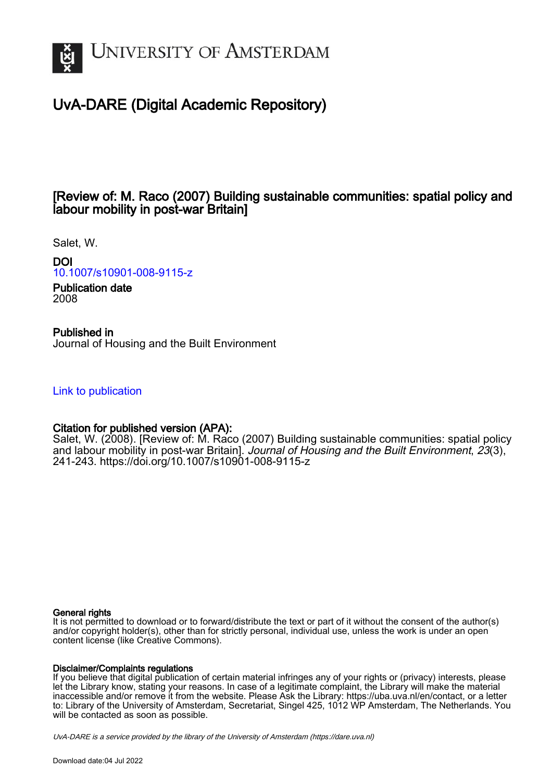

# UvA-DARE (Digital Academic Repository)

## [Review of: M. Raco (2007) Building sustainable communities: spatial policy and labour mobility in post-war Britain]

Salet, W.

DOI

[10.1007/s10901-008-9115-z](https://doi.org/10.1007/s10901-008-9115-z)

Publication date 2008

#### Published in

Journal of Housing and the Built Environment

[Link to publication](https://dare.uva.nl/personal/pure/en/publications/review-of-m-raco-2007-building-sustainable-communities-spatial-policy-and-labour-mobility-in-postwar-britain(dd5ebdd8-b717-4274-9f7b-189481488cef).html)

#### Citation for published version (APA):

Salet, W. (2008). [Review of: M. Raco (2007) Building sustainable communities: spatial policy and labour mobility in post-war Britain]. Journal of Housing and the Built Environment, 23(3), 241-243. <https://doi.org/10.1007/s10901-008-9115-z>

#### General rights

It is not permitted to download or to forward/distribute the text or part of it without the consent of the author(s) and/or copyright holder(s), other than for strictly personal, individual use, unless the work is under an open content license (like Creative Commons).

### Disclaimer/Complaints regulations

If you believe that digital publication of certain material infringes any of your rights or (privacy) interests, please let the Library know, stating your reasons. In case of a legitimate complaint, the Library will make the material inaccessible and/or remove it from the website. Please Ask the Library: https://uba.uva.nl/en/contact, or a letter to: Library of the University of Amsterdam, Secretariat, Singel 425, 1012 WP Amsterdam, The Netherlands. You will be contacted as soon as possible.

UvA-DARE is a service provided by the library of the University of Amsterdam (http*s*://dare.uva.nl)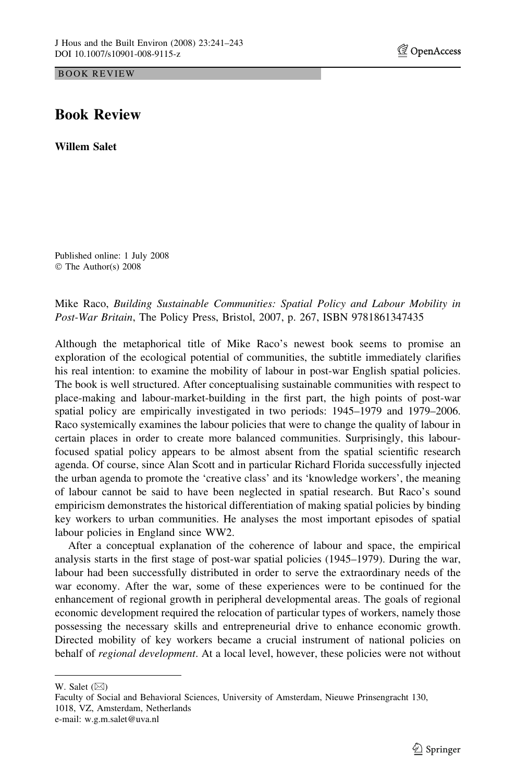BOOK REVIEW

#### Book Review

Willem Salet

Published online: 1 July 2008 The Author(s) 2008

Mike Raco, Building Sustainable Communities: Spatial Policy and Labour Mobility in Post-War Britain, The Policy Press, Bristol, 2007, p. 267, ISBN 9781861347435

Although the metaphorical title of Mike Raco's newest book seems to promise an exploration of the ecological potential of communities, the subtitle immediately clarifies his real intention: to examine the mobility of labour in post-war English spatial policies. The book is well structured. After conceptualising sustainable communities with respect to place-making and labour-market-building in the first part, the high points of post-war spatial policy are empirically investigated in two periods: 1945–1979 and 1979–2006. Raco systemically examines the labour policies that were to change the quality of labour in certain places in order to create more balanced communities. Surprisingly, this labourfocused spatial policy appears to be almost absent from the spatial scientific research agenda. Of course, since Alan Scott and in particular Richard Florida successfully injected the urban agenda to promote the 'creative class' and its 'knowledge workers', the meaning of labour cannot be said to have been neglected in spatial research. But Raco's sound empiricism demonstrates the historical differentiation of making spatial policies by binding key workers to urban communities. He analyses the most important episodes of spatial labour policies in England since WW2.

After a conceptual explanation of the coherence of labour and space, the empirical analysis starts in the first stage of post-war spatial policies (1945–1979). During the war, labour had been successfully distributed in order to serve the extraordinary needs of the war economy. After the war, some of these experiences were to be continued for the enhancement of regional growth in peripheral developmental areas. The goals of regional economic development required the relocation of particular types of workers, namely those possessing the necessary skills and entrepreneurial drive to enhance economic growth. Directed mobility of key workers became a crucial instrument of national policies on behalf of *regional development*. At a local level, however, these policies were not without

W. Salet  $(\boxtimes)$ 

Faculty of Social and Behavioral Sciences, University of Amsterdam, Nieuwe Prinsengracht 130, 1018, VZ, Amsterdam, Netherlands e-mail: w.g.m.salet@uva.nl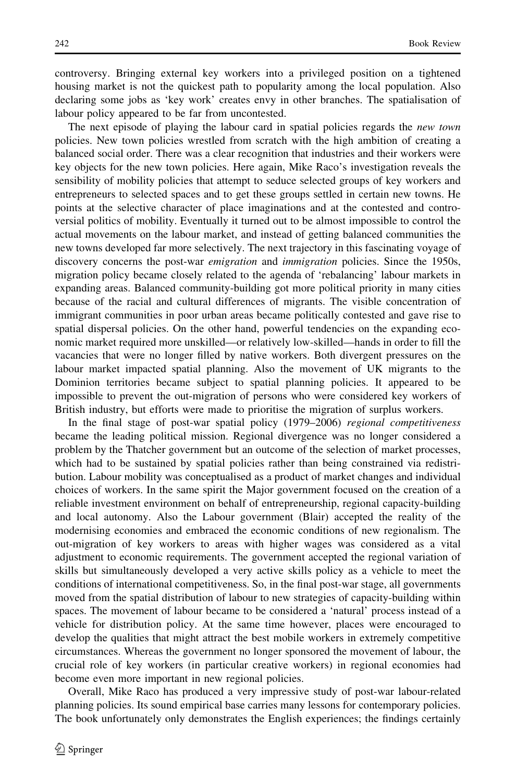controversy. Bringing external key workers into a privileged position on a tightened housing market is not the quickest path to popularity among the local population. Also declaring some jobs as 'key work' creates envy in other branches. The spatialisation of labour policy appeared to be far from uncontested.

The next episode of playing the labour card in spatial policies regards the *new town* policies. New town policies wrestled from scratch with the high ambition of creating a balanced social order. There was a clear recognition that industries and their workers were key objects for the new town policies. Here again, Mike Raco's investigation reveals the sensibility of mobility policies that attempt to seduce selected groups of key workers and entrepreneurs to selected spaces and to get these groups settled in certain new towns. He points at the selective character of place imaginations and at the contested and controversial politics of mobility. Eventually it turned out to be almost impossible to control the actual movements on the labour market, and instead of getting balanced communities the new towns developed far more selectively. The next trajectory in this fascinating voyage of discovery concerns the post-war emigration and immigration policies. Since the 1950s, migration policy became closely related to the agenda of 'rebalancing' labour markets in expanding areas. Balanced community-building got more political priority in many cities because of the racial and cultural differences of migrants. The visible concentration of immigrant communities in poor urban areas became politically contested and gave rise to spatial dispersal policies. On the other hand, powerful tendencies on the expanding economic market required more unskilled—or relatively low-skilled—hands in order to fill the vacancies that were no longer filled by native workers. Both divergent pressures on the labour market impacted spatial planning. Also the movement of UK migrants to the Dominion territories became subject to spatial planning policies. It appeared to be impossible to prevent the out-migration of persons who were considered key workers of British industry, but efforts were made to prioritise the migration of surplus workers.

In the final stage of post-war spatial policy (1979–2006) regional competitiveness became the leading political mission. Regional divergence was no longer considered a problem by the Thatcher government but an outcome of the selection of market processes, which had to be sustained by spatial policies rather than being constrained via redistribution. Labour mobility was conceptualised as a product of market changes and individual choices of workers. In the same spirit the Major government focused on the creation of a reliable investment environment on behalf of entrepreneurship, regional capacity-building and local autonomy. Also the Labour government (Blair) accepted the reality of the modernising economies and embraced the economic conditions of new regionalism. The out-migration of key workers to areas with higher wages was considered as a vital adjustment to economic requirements. The government accepted the regional variation of skills but simultaneously developed a very active skills policy as a vehicle to meet the conditions of international competitiveness. So, in the final post-war stage, all governments moved from the spatial distribution of labour to new strategies of capacity-building within spaces. The movement of labour became to be considered a 'natural' process instead of a vehicle for distribution policy. At the same time however, places were encouraged to develop the qualities that might attract the best mobile workers in extremely competitive circumstances. Whereas the government no longer sponsored the movement of labour, the crucial role of key workers (in particular creative workers) in regional economies had become even more important in new regional policies.

Overall, Mike Raco has produced a very impressive study of post-war labour-related planning policies. Its sound empirical base carries many lessons for contemporary policies. The book unfortunately only demonstrates the English experiences; the findings certainly